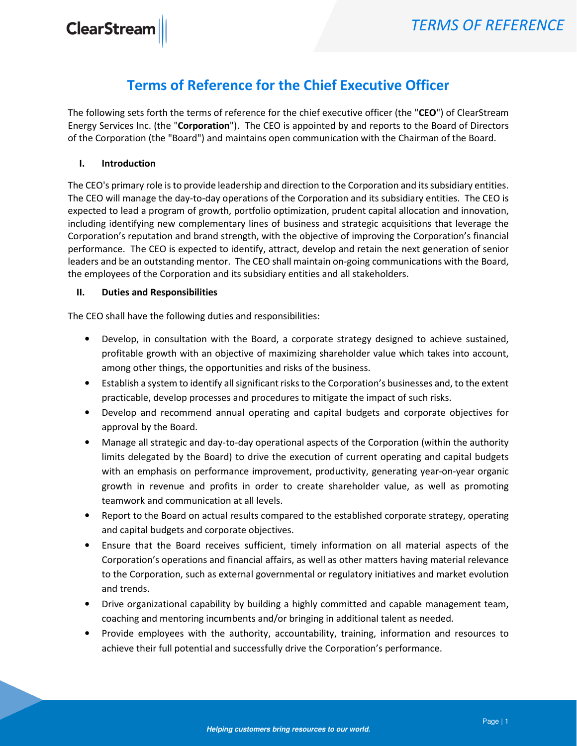## Terms of Reference for the Chief Executive Officer

The following sets forth the terms of reference for the chief executive officer (the "CEO") of ClearStream Energy Services Inc. (the "Corporation"). The CEO is appointed by and reports to the Board of Directors of the Corporation (the "Board") and maintains open communication with the Chairman of the Board.

## I. Introduction

The CEO's primary role is to provide leadership and direction to the Corporation and its subsidiary entities. The CEO will manage the day-to-day operations of the Corporation and its subsidiary entities. The CEO is expected to lead a program of growth, portfolio optimization, prudent capital allocation and innovation, including identifying new complementary lines of business and strategic acquisitions that leverage the Corporation's reputation and brand strength, with the objective of improving the Corporation's financial performance. The CEO is expected to identify, attract, develop and retain the next generation of senior leaders and be an outstanding mentor. The CEO shall maintain on-going communications with the Board, the employees of the Corporation and its subsidiary entities and all stakeholders.

## II. Duties and Responsibilities

The CEO shall have the following duties and responsibilities:

- Develop, in consultation with the Board, a corporate strategy designed to achieve sustained, profitable growth with an objective of maximizing shareholder value which takes into account, among other things, the opportunities and risks of the business.
- Establish a system to identify all significant risks to the Corporation's businesses and, to the extent practicable, develop processes and procedures to mitigate the impact of such risks.
- Develop and recommend annual operating and capital budgets and corporate objectives for approval by the Board.
- Manage all strategic and day-to-day operational aspects of the Corporation (within the authority limits delegated by the Board) to drive the execution of current operating and capital budgets with an emphasis on performance improvement, productivity, generating year-on-year organic growth in revenue and profits in order to create shareholder value, as well as promoting teamwork and communication at all levels.
- Report to the Board on actual results compared to the established corporate strategy, operating and capital budgets and corporate objectives.
- Ensure that the Board receives sufficient, timely information on all material aspects of the Corporation's operations and financial affairs, as well as other matters having material relevance to the Corporation, such as external governmental or regulatory initiatives and market evolution and trends.
- Drive organizational capability by building a highly committed and capable management team, coaching and mentoring incumbents and/or bringing in additional talent as needed.
- Provide employees with the authority, accountability, training, information and resources to achieve their full potential and successfully drive the Corporation's performance.